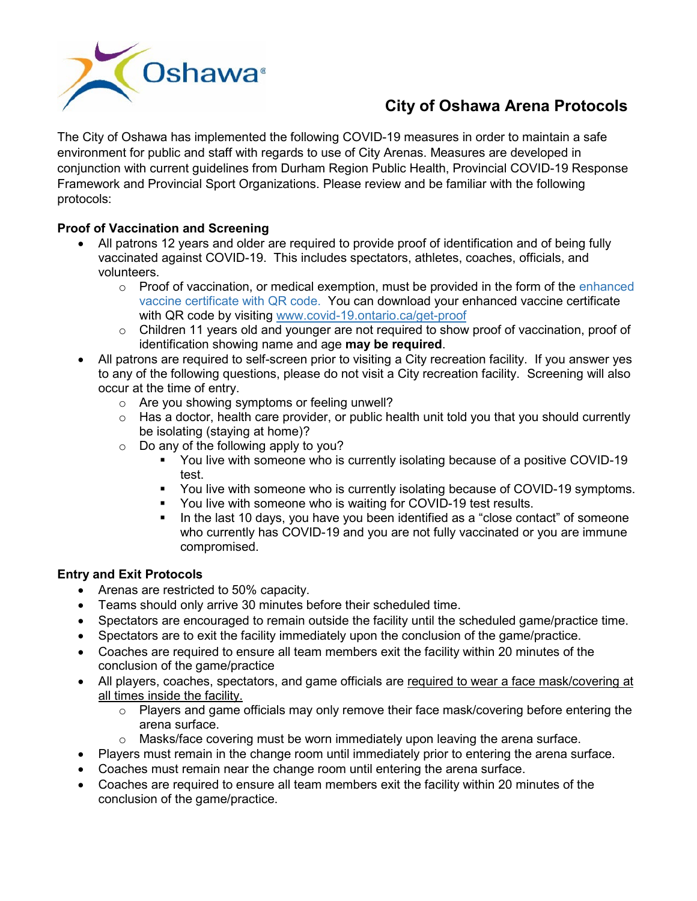

# **City of Oshawa Arena Protocols**

The City of Oshawa has implemented the following COVID-19 measures in order to maintain a safe environment for public and staff with regards to use of City Arenas. Measures are developed in conjunction with current guidelines from Durham Region Public Health, Provincial COVID-19 Response Framework and Provincial Sport Organizations. Please review and be familiar with the following protocols:

## **Proof of Vaccination and Screening**

- All patrons 12 years and older are required to provide proof of identification and of being fully vaccinated against COVID-19. This includes spectators, athletes, coaches, officials, and volunteers.
	- $\circ$  Proof of vaccination, or medical exemption, must be provided in the form of the enhanced [vaccine certificate with QR code.](https://covid-19.ontario.ca/proof-covid-19-vaccination#enhanced-vaccine-certificates-with-qr-codes) You can download your enhanced vaccine certificate with QR code by visiting [www.covid-19.ontario.ca/get-proof](https://covid-19.ontario.ca/get-proof/)
	- o Children 11 years old and younger are not required to show proof of vaccination, proof of identification showing name and age **may be required**.
- All patrons are required to self-screen prior to visiting a City recreation facility. If you answer yes to any of the following questions, please do not visit a City recreation facility. Screening will also occur at the time of entry.
	- o Are you showing symptoms or feeling unwell?
	- $\circ$  Has a doctor, health care provider, or public health unit told you that you should currently be isolating (staying at home)?
	- o Do any of the following apply to you?
		- You live with someone who is currently isolating because of a positive COVID-19 test.
		- You live with someone who is currently isolating because of COVID-19 symptoms.
		- You live with someone who is waiting for COVID-19 test results.
		- In the last 10 days, you have you been identified as a "close contact" of someone who currently has COVID-19 and you are not [fully vaccinated](https://www.health.gov.on.ca/en/pro/programs/publichealth/coronavirus/docs/vaccine/COVID-19_fully_vaccinated_status_ontario.pdf) or you are immune compromised.

# **Entry and Exit Protocols**

- Arenas are restricted to 50% capacity.
- Teams should only arrive 30 minutes before their scheduled time.
- Spectators are encouraged to remain outside the facility until the scheduled game/practice time.
- Spectators are to exit the facility immediately upon the conclusion of the game/practice.
- Coaches are required to ensure all team members exit the facility within 20 minutes of the conclusion of the game/practice
- All players, coaches, spectators, and game officials are required to wear a face [mask/](https://www.durham.ca/en/health-and-wellness/resources/Documents/Novel-Coronavirus/COVID-19-Proper-Mask-Wear.pdf)covering at all times inside the facility.
	- $\circ$  Players and game officials may only remove their face mask/covering before entering the arena surface.
	- $\circ$  Masks/face covering must be worn immediately upon leaving the arena surface.
- Players must remain in the change room until immediately prior to entering the arena surface.
- Coaches must remain near the change room until entering the arena surface.
- Coaches are required to ensure all team members exit the facility within 20 minutes of the conclusion of the game/practice.